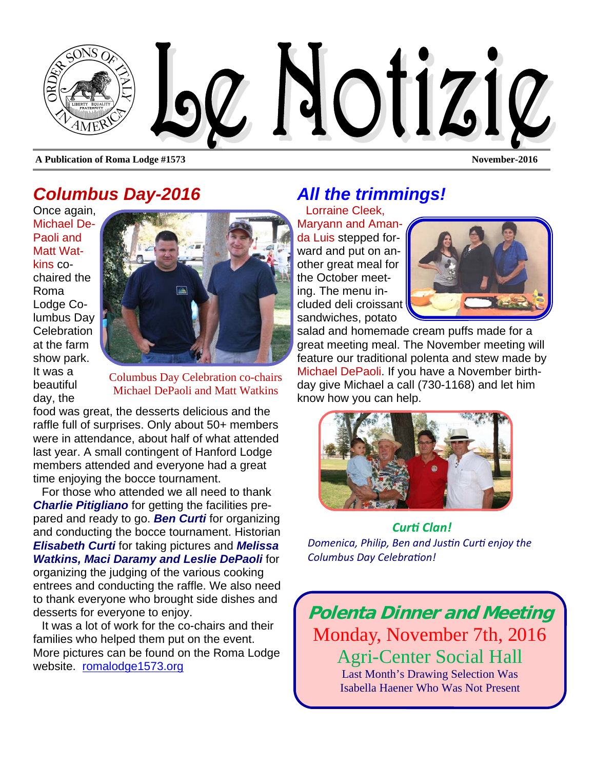

### *Columbus Day-2016*

Once again, Michael De-Paoli and Matt Watkins cochaired the Roma Lodge Columbus Day **Celebration** at the farm show park. It was a beautiful day, the



Columbus Day Celebration co-chairs Michael DePaoli and Matt Watkins

food was great, the desserts delicious and the raffle full of surprises. Only about 50+ members were in attendance, about half of what attended last year. A small contingent of Hanford Lodge members attended and everyone had a great time enjoying the bocce tournament.

For those who attended we all need to thank *Charlie Pitigliano* for getting the facilities prepared and ready to go. *Ben Curti* for organizing and conducting the bocce tournament. Historian *Elisabeth Curti* for taking pictures and *Melissa Watkins, Maci Daramy and Leslie DePaoli* for organizing the judging of the various cooking entrees and conducting the raffle. We also need to thank everyone who brought side dishes and desserts for everyone to enjoy.

It was a lot of work for the co-chairs and their families who helped them put on the event. More pictures can be found on the Roma Lodge website. romalodge1573.org

## *All the trimmings!*

Lorraine Cleek, Maryann and Amanda Luis stepped forward and put on another great meal for the October meeting. The menu included deli croissant sandwiches, potato



salad and homemade cream puffs made for a great meeting meal. The November meeting will feature our traditional polenta and stew made by Michael DePaoli. If you have a November birthday give Michael a call (730-1168) and let him know how you can help.



*CurƟ Clan! Domenica, Philip, Ben and JusƟn CurƟ enjoy the Columbus Day CelebraƟon!*

**Polenta Dinner and Meeting**  Monday, November 7th, 2016 Agri-Center Social Hall Last Month's Drawing Selection Was Isabella Haener Who Was Not Present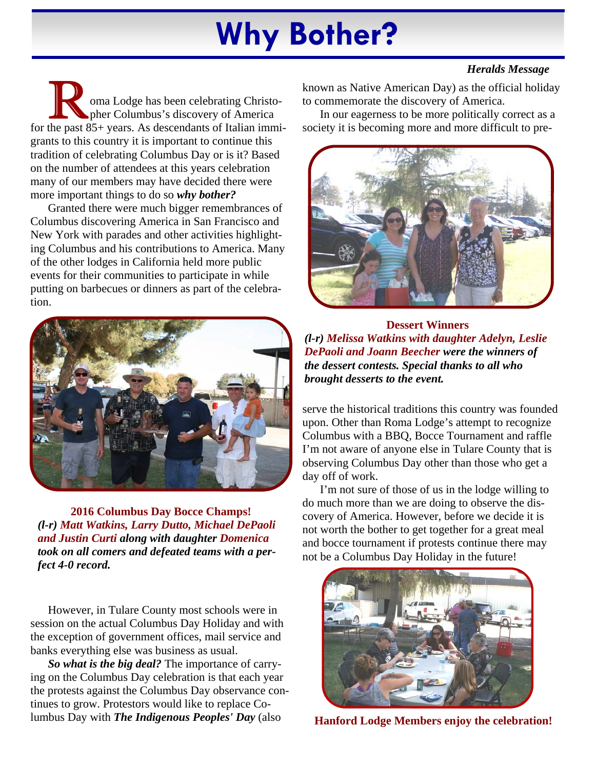# **Why Bother?**

#### *Heralds Message*

oma Lodge has been celebrating Christopher Columbus's discovery of America for the past 85+ years. As descendants of Italian immigrants to this country it is important to continue this tradition of celebrating Columbus Day or is it? Based on the number of attendees at this years celebration many of our members may have decided there were more important things to do so *why bother?* 

Granted there were much bigger remembrances of Columbus discovering America in San Francisco and New York with parades and other activities highlighting Columbus and his contributions to America. Many of the other lodges in California held more public events for their communities to participate in while putting on barbecues or dinners as part of the celebration.



**2016 Columbus Day Bocce Champs!**  *(l-r) Matt Watkins, Larry Dutto, Michael DePaoli and Justin Curti along with daughter Domenica took on all comers and defeated teams with a perfect 4-0 record.* 

However, in Tulare County most schools were in session on the actual Columbus Day Holiday and with the exception of government offices, mail service and banks everything else was business as usual.

*So what is the big deal?* The importance of carrying on the Columbus Day celebration is that each year the protests against the Columbus Day observance continues to grow. Protestors would like to replace Columbus Day with *The Indigenous Peoples' Day* (also

known as Native American Day) as the official holiday to commemorate the discovery of America.

In our eagerness to be more politically correct as a society it is becoming more and more difficult to pre-



**Dessert Winners**  *(l-r) Melissa Watkins with daughter Adelyn, Leslie DePaoli and Joann Beecher were the winners of the dessert contests. Special thanks to all who brought desserts to the event.* 

serve the historical traditions this country was founded upon. Other than Roma Lodge's attempt to recognize Columbus with a BBQ, Bocce Tournament and raffle I'm not aware of anyone else in Tulare County that is observing Columbus Day other than those who get a day off of work.

I'm not sure of those of us in the lodge willing to do much more than we are doing to observe the discovery of America. However, before we decide it is not worth the bother to get together for a great meal and bocce tournament if protests continue there may not be a Columbus Day Holiday in the future!



**Hanford Lodge Members enjoy the celebration!**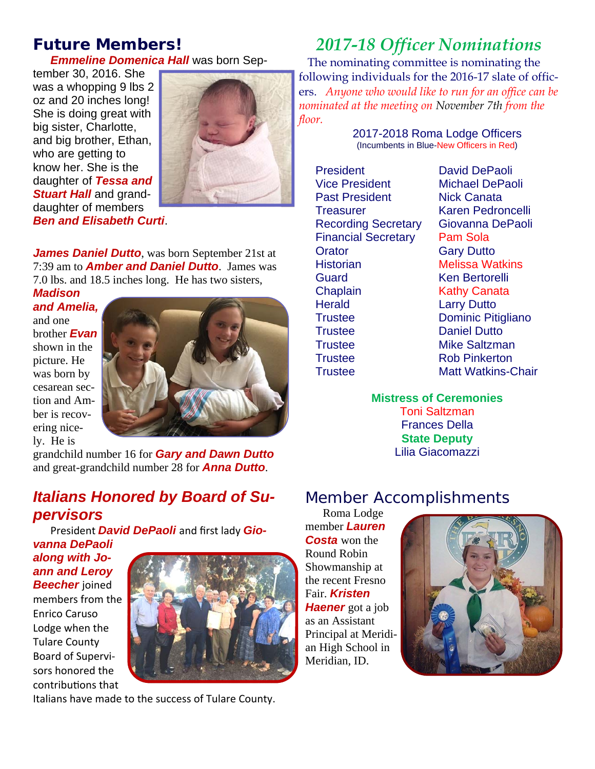### *Future Members!*

*Emmeline Domenica Hall* was born Sep-

tember 30, 2016. She was a whopping 9 lbs 2 oz and 20 inches long! She is doing great with big sister, Charlotte, and big brother, Ethan, who are getting to know her. She is the daughter of *Tessa and*  **Stuart Hall** and granddaughter of members *Ben and Elisabeth Curti*.



*James Daniel Dutto*, was born September 21st at 7:39 am to *Amber and Daniel Dutto*. James was 7.0 lbs. and 18.5 inches long. He has two sisters,

*Madison and Amelia,* and one brother *Evan* shown in the picture. He was born by cesarean section and Amber is recovering nicely. He is



grandchild number 16 for *Gary and Dawn Dutto*  and great-grandchild number 28 for *Anna Dutto*.

### *Italians Honored by Board of Supervisors*

President *David DePaoli* and first lady *Gio-*

*vanna DePaoli along with Joann and Leroy*  **Beecher** ioined members from the Enrico Caruso Lodge when the Tulare County Board of Supervi‐ sors honored the contribuƟons that



Italians have made to the success of Tulare County.

# *2017-18 Officer Nominations*

The nominating committee is nominating the following individuals for the 2016-17 slate of officers. *Anyone who would like to run for an office can be nominated at the meeting on November 7th from the floor.* 

> 2017-2018 Roma Lodge Officers (Incumbents in Blue-New Officers in Red)

President David DePaoli Past President Nick Canata Financial Secretary Pam Sola Orator **Gary Dutto** Historian Melissa Watkins Guard Ken Bertorelli Chaplain Kathy Canata Herald **Larry Dutto** Trustee Daniel Dutto Trustee Mike Saltzman Trustee Rob Pinkerton

Vice President Michael DePaoli Treasurer Karen Pedroncelli Recording Secretary Giovanna DePaoli Trustee Dominic Pitigliano Trustee Matt Watkins-Chair

#### **Mistress of Ceremonies**

Toni Saltzman Frances Della **State Deputy**  Lilia Giacomazzi

### Member Accomplishments

Roma Lodge member *Lauren Costa* won the Round Robin Showmanship at the recent Fresno Fair. *Kristen Haener* got a job as an Assistant Principal at Meridian High School in Meridian, ID.